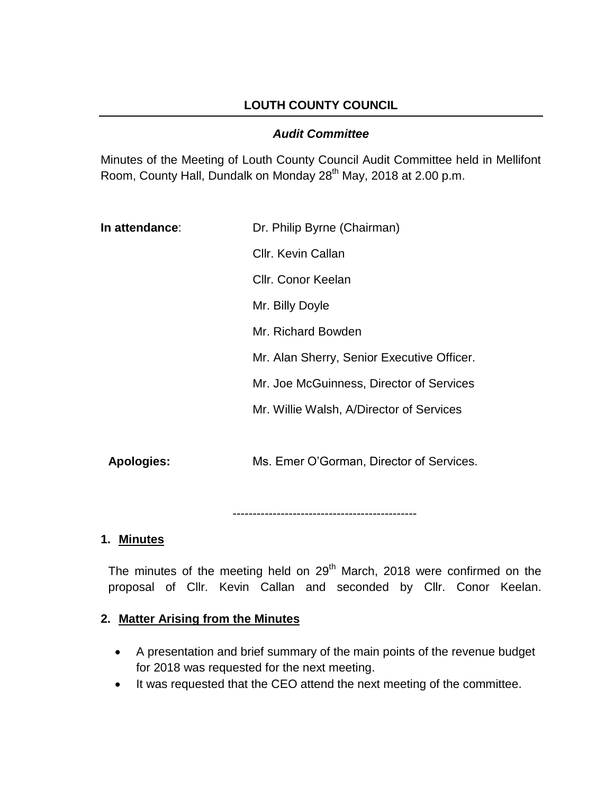## **LOUTH COUNTY COUNCIL**

#### *Audit Committee*

Minutes of the Meeting of Louth County Council Audit Committee held in Mellifont Room, County Hall, Dundalk on Monday 28<sup>th</sup> May, 2018 at 2.00 p.m.

| Cllr. Kevin Callan<br>Cllr. Conor Keelan   |  |
|--------------------------------------------|--|
|                                            |  |
|                                            |  |
| Mr. Billy Doyle                            |  |
| Mr. Richard Bowden                         |  |
| Mr. Alan Sherry, Senior Executive Officer. |  |
| Mr. Joe McGuinness, Director of Services   |  |
| Mr. Willie Walsh, A/Director of Services   |  |
|                                            |  |

**Apologies:** Ms. Emer O'Gorman, Director of Services.

----------------------------------------------

#### **1. Minutes**

The minutes of the meeting held on 29<sup>th</sup> March, 2018 were confirmed on the proposal of Cllr. Kevin Callan and seconded by Cllr. Conor Keelan.

#### **2. Matter Arising from the Minutes**

- A presentation and brief summary of the main points of the revenue budget for 2018 was requested for the next meeting.
- It was requested that the CEO attend the next meeting of the committee.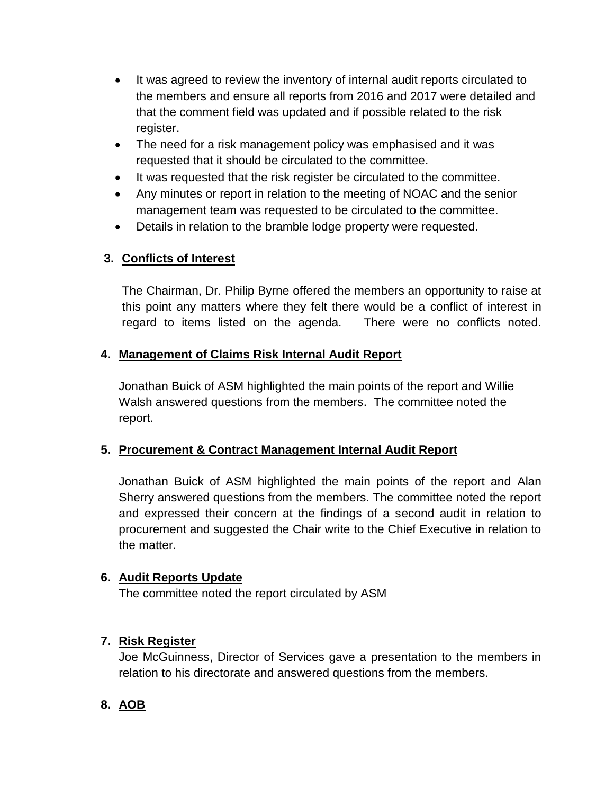- It was agreed to review the inventory of internal audit reports circulated to the members and ensure all reports from 2016 and 2017 were detailed and that the comment field was updated and if possible related to the risk register.
- The need for a risk management policy was emphasised and it was requested that it should be circulated to the committee.
- It was requested that the risk register be circulated to the committee.
- Any minutes or report in relation to the meeting of NOAC and the senior management team was requested to be circulated to the committee.
- Details in relation to the bramble lodge property were requested.

# **3. Conflicts of Interest**

The Chairman, Dr. Philip Byrne offered the members an opportunity to raise at this point any matters where they felt there would be a conflict of interest in regard to items listed on the agenda. There were no conflicts noted.

## **4. Management of Claims Risk Internal Audit Report**

Jonathan Buick of ASM highlighted the main points of the report and Willie Walsh answered questions from the members. The committee noted the report.

## **5. Procurement & Contract Management Internal Audit Report**

Jonathan Buick of ASM highlighted the main points of the report and Alan Sherry answered questions from the members. The committee noted the report and expressed their concern at the findings of a second audit in relation to procurement and suggested the Chair write to the Chief Executive in relation to the matter.

## **6. Audit Reports Update**

The committee noted the report circulated by ASM

## **7. Risk Register**

Joe McGuinness, Director of Services gave a presentation to the members in relation to his directorate and answered questions from the members.

## **8. AOB**